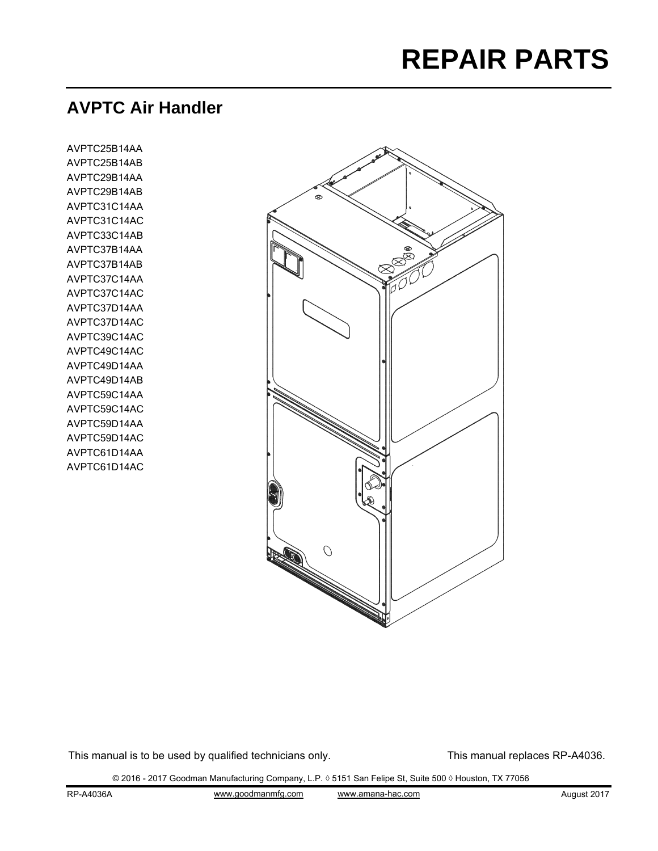# **REPAIR PARTS**

# **AVPTC Air Handler**

AVPTC25B14AA AVPTC25B14AB AVPTC29B14AA AVPTC29B14AB AVPTC31C14AA AVPTC31C14AC AVPTC33C14AB AVPTC37B14AA AVPTC37B14AB AVPTC37C14AA AVPTC37C14AC AVPTC37D14AA AVPTC37D14AC AVPTC39C14AC AVPTC49C14AC AVPTC49D14AA AVPTC49D14AB AVPTC59C14AA AVPTC59C14AC AVPTC59D14AA AVPTC59D14AC AVPTC61D14AA AVPTC61D14AC



This manual is to be used by qualified technicians only. This manual replaces RP-A4036.

© 2016 - 2017 Goodman Manufacturing Company, L.P. ◊ 5151 San Felipe St, Suite 500 ◊ Houston, TX 77056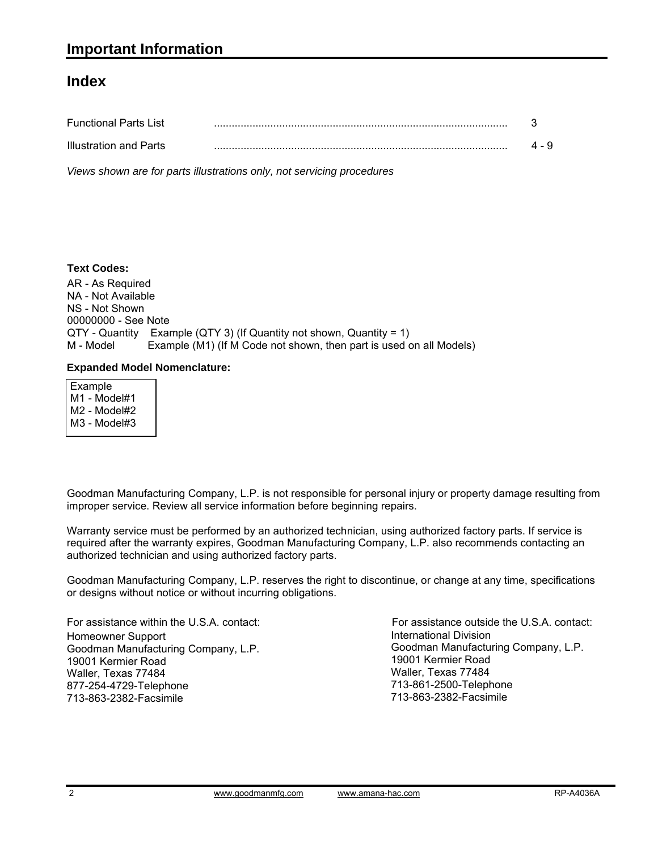#### **Index**

| <b>Functional Parts List</b> |   |       |
|------------------------------|---|-------|
| Illustration and Parts       | . | 4 - 9 |

*Views shown are for parts illustrations only, not servicing procedures*

#### **Text Codes:**

AR - As Required NA - Not Available NS - Not Shown 00000000 - See Note  $QTY$  - Quantity Example (QTY 3) (If Quantity not shown, Quantity = 1)<br>M - Model Example (M1) (If M Code not shown, then part is used o Example (M1) (If M Code not shown, then part is used on all Models)

#### **Expanded Model Nomenclature:**

 Example M1 - Model#1 M2 - Model#2 M3 - Model#3

Goodman Manufacturing Company, L.P. is not responsible for personal injury or property damage resulting from improper service. Review all service information before beginning repairs.

Warranty service must be performed by an authorized technician, using authorized factory parts. If service is required after the warranty expires, Goodman Manufacturing Company, L.P. also recommends contacting an authorized technician and using authorized factory parts.

Goodman Manufacturing Company, L.P. reserves the right to discontinue, or change at any time, specifications or designs without notice or without incurring obligations.

For assistance within the U.S.A. contact: Homeowner Support Goodman Manufacturing Company, L.P. 19001 Kermier Road Waller, Texas 77484 877-254-4729-Telephone 713-863-2382-Facsimile

International Division Goodman Manufacturing Company, L.P. 19001 Kermier Road Waller, Texas 77484 713-861-2500-Telephone 713-863-2382-Facsimile For assistance outside the U.S.A. contact: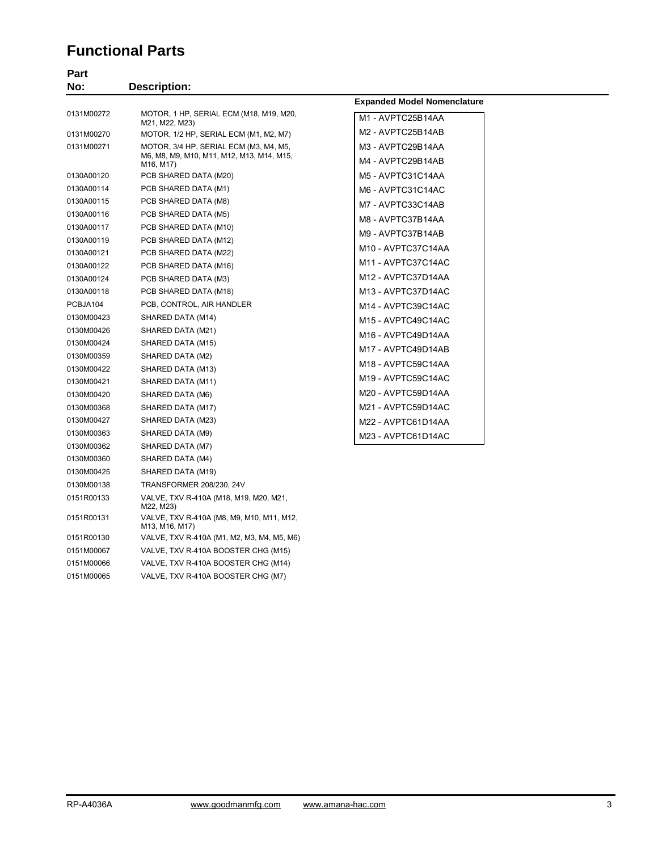## **Functional Parts**

| Part       |                                                                                  |                                    |  |
|------------|----------------------------------------------------------------------------------|------------------------------------|--|
| No:        | <b>Description:</b>                                                              |                                    |  |
|            |                                                                                  | <b>Expanded Model Nomenclature</b> |  |
| 0131M00272 | MOTOR, 1 HP, SERIAL ECM (M18, M19, M20,<br>M21, M22, M23)                        | M1 - AVPTC25B14AA                  |  |
| 0131M00270 | MOTOR, 1/2 HP, SERIAL ECM (M1, M2, M7)                                           | M2 - AVPTC25B14AB                  |  |
| 0131M00271 | MOTOR, 3/4 HP, SERIAL ECM (M3, M4, M5,                                           | M3 - AVPTC29B14AA                  |  |
|            | M6, M8, M9, M10, M11, M12, M13, M14, M15,<br>M <sub>16</sub> , M <sub>17</sub> ) | M4 - AVPTC29B14AB                  |  |
| 0130A00120 | PCB SHARED DATA (M20)                                                            | M5 - AVPTC31C14AA                  |  |
| 0130A00114 | PCB SHARED DATA (M1)                                                             | M6 - AVPTC31C14AC                  |  |
| 0130A00115 | PCB SHARED DATA (M8)                                                             | M7 - AVPTC33C14AB                  |  |
| 0130A00116 | PCB SHARED DATA (M5)                                                             | M8 - AVPTC37B14AA                  |  |
| 0130A00117 | PCB SHARED DATA (M10)                                                            | M9 - AVPTC37B14AB                  |  |
| 0130A00119 | PCB SHARED DATA (M12)                                                            | M10 - AVPTC37C14AA                 |  |
| 0130A00121 | PCB SHARED DATA (M22)                                                            |                                    |  |
| 0130A00122 | PCB SHARED DATA (M16)                                                            | M11 - AVPTC37C14AC                 |  |
| 0130A00124 | PCB SHARED DATA (M3)                                                             | M12 - AVPTC37D14AA                 |  |
| 0130A00118 | PCB SHARED DATA (M18)                                                            | M13 - AVPTC37D14AC                 |  |
| PCBJA104   | PCB, CONTROL, AIR HANDLER                                                        | M14 - AVPTC39C14AC                 |  |
| 0130M00423 | SHARED DATA (M14)                                                                | M15 - AVPTC49C14AC                 |  |
| 0130M00426 | SHARED DATA (M21)                                                                | M16 - AVPTC49D14AA                 |  |
| 0130M00424 | SHARED DATA (M15)                                                                | M17 - AVPTC49D14AB                 |  |
| 0130M00359 | SHARED DATA (M2)                                                                 | M18 - AVPTC59C14AA                 |  |
| 0130M00422 | SHARED DATA (M13)                                                                | M19 - AVPTC59C14AC                 |  |
| 0130M00421 | SHARED DATA (M11)                                                                |                                    |  |
| 0130M00420 | SHARED DATA (M6)                                                                 | M20 - AVPTC59D14AA                 |  |
| 0130M00368 | SHARED DATA (M17)                                                                | M21 - AVPTC59D14AC                 |  |
| 0130M00427 | SHARED DATA (M23)                                                                | M22 - AVPTC61D14AA                 |  |
| 0130M00363 | SHARED DATA (M9)                                                                 | M23 - AVPTC61D14AC                 |  |
| 0130M00362 | SHARED DATA (M7)                                                                 |                                    |  |
| 0130M00360 | SHARED DATA (M4)                                                                 |                                    |  |
| 0130M00425 | SHARED DATA (M19)                                                                |                                    |  |
| 0130M00138 | <b>TRANSFORMER 208/230, 24V</b>                                                  |                                    |  |
| 0151R00133 | VALVE, TXV R-410A (M18, M19, M20, M21,<br>M22, M23)                              |                                    |  |
| 0151R00131 | VALVE, TXV R-410A (M8, M9, M10, M11, M12,<br>M13, M16, M17)                      |                                    |  |
| 0151R00130 | VALVE, TXV R-410A (M1, M2, M3, M4, M5, M6)                                       |                                    |  |
| 0151M00067 | VALVE, TXV R-410A BOOSTER CHG (M15)                                              |                                    |  |
| 0151M00066 | VALVE, TXV R-410A BOOSTER CHG (M14)                                              |                                    |  |

0151M00065 VALVE, TXV R-410A BOOSTER CHG (M7)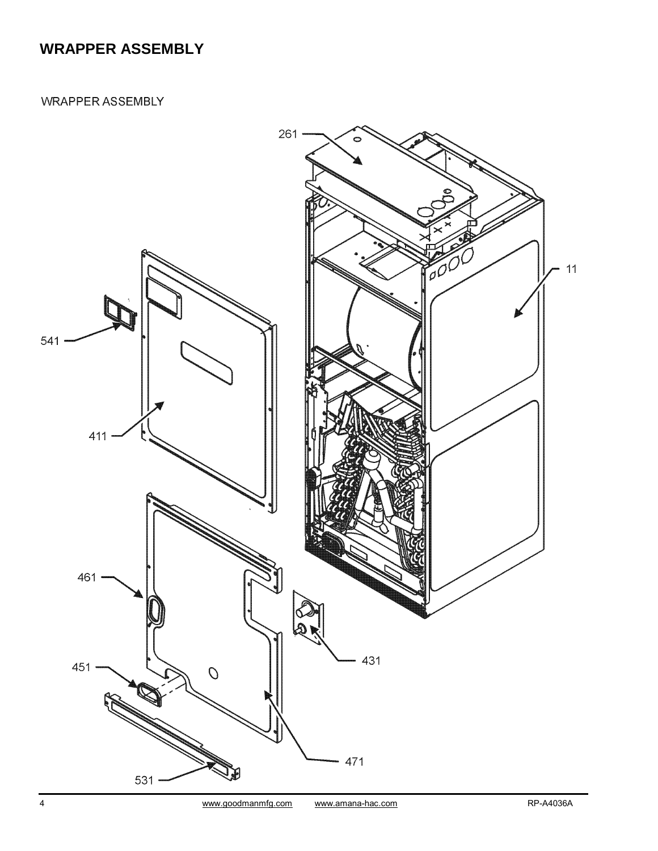## **WRAPPER ASSEMBLY**

**WRAPPER ASSEMBLY** 

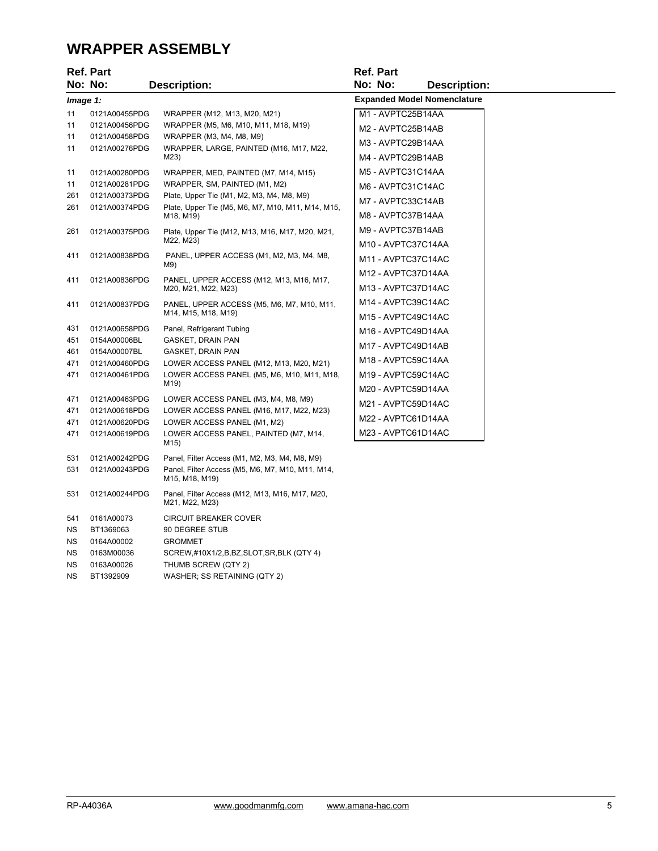#### **WRAPPER ASSEMBLY**

|                                         | <b>Ref. Part</b><br>No: No:                                                                                         | <b>Description:</b>                                                                                                                                                                                                                                                       | <b>Ref. Part</b><br>No: No:<br><b>Description:</b>                                                                                                     |
|-----------------------------------------|---------------------------------------------------------------------------------------------------------------------|---------------------------------------------------------------------------------------------------------------------------------------------------------------------------------------------------------------------------------------------------------------------------|--------------------------------------------------------------------------------------------------------------------------------------------------------|
| Image 1:                                |                                                                                                                     |                                                                                                                                                                                                                                                                           | <b>Expanded Model Nomenclature</b>                                                                                                                     |
| 11<br>11<br>11<br>11<br>11<br>11<br>261 | 0121A00455PDG<br>0121A00456PDG<br>0121A00458PDG<br>0121A00276PDG<br>0121A00280PDG<br>0121A00281PDG<br>0121A00373PDG | WRAPPER (M12, M13, M20, M21)<br>WRAPPER (M5, M6, M10, M11, M18, M19)<br>WRAPPER (M3, M4, M8, M9)<br>WRAPPER, LARGE, PAINTED (M16, M17, M22,<br>M23)<br>WRAPPER, MED, PAINTED (M7, M14, M15)<br>WRAPPER, SM, PAINTED (M1, M2)<br>Plate, Upper Tie (M1, M2, M3, M4, M8, M9) | M1 - AVPTC25B14AA<br>M2 - AVPTC25B14AB<br>M3 - AVPTC29B14AA<br>M4 - AVPTC29B14AB<br>M5 - AVPTC31C14AA<br>M6 - AVPTC31C14AC<br>M7 - AVPTC33C14AB        |
| 261<br>261                              | 0121A00374PDG<br>0121A00375PDG                                                                                      | Plate, Upper Tie (M5, M6, M7, M10, M11, M14, M15,<br>M18, M19)<br>Plate, Upper Tie (M12, M13, M16, M17, M20, M21,<br>M22, M23)                                                                                                                                            | M8 - AVPTC37B14AA<br>M9 - AVPTC37B14AB<br>M10 - AVPTC37C14AA                                                                                           |
| 411<br>411                              | 0121A00838PDG<br>0121A00836PDG                                                                                      | PANEL, UPPER ACCESS (M1, M2, M3, M4, M8,<br>M9)<br>PANEL, UPPER ACCESS (M12, M13, M16, M17,<br>M20, M21, M22, M23)                                                                                                                                                        | M11 - AVPTC37C14AC<br>M <sub>12</sub> - AVPTC37D <sub>14</sub> AA<br>M13 - AVPTC37D14AC                                                                |
| 411<br>431<br>451<br>461<br>471<br>471  | 0121A00837PDG<br>0121A00658PDG<br>0154A00006BL<br>0154A00007BL<br>0121A00460PDG<br>0121A00461PDG                    | PANEL, UPPER ACCESS (M5, M6, M7, M10, M11,<br>M14, M15, M18, M19)<br>Panel, Refrigerant Tubing<br>GASKET, DRAIN PAN<br>GASKET, DRAIN PAN<br>LOWER ACCESS PANEL (M12, M13, M20, M21)<br>LOWER ACCESS PANEL (M5, M6, M10, M11, M18,<br>M19)                                 | M14 - AVPTC39C14AC<br>M15 - AVPTC49C14AC<br>M16 - AVPTC49D14AA<br>M17 - AVPTC49D14AB<br>M18 - AVPTC59C14AA<br>M19 - AVPTC59C14AC<br>M20 - AVPTC59D14AA |
| 471<br>471<br>471<br>471                | 0121A00463PDG<br>0121A00618PDG<br>0121A00620PDG<br>0121A00619PDG                                                    | LOWER ACCESS PANEL (M3, M4, M8, M9)<br>LOWER ACCESS PANEL (M16, M17, M22, M23)<br>LOWER ACCESS PANEL (M1, M2)<br>LOWER ACCESS PANEL, PAINTED (M7, M14,<br>M15)                                                                                                            | M21 - AVPTC59D14AC<br>M22 - AVPTC61D14AA<br>M23 - AVPTC61D14AC                                                                                         |
| 531<br>531<br>531                       | 0121A00242PDG<br>0121A00243PDG<br>0121A00244PDG                                                                     | Panel, Filter Access (M1, M2, M3, M4, M8, M9)<br>Panel, Filter Access (M5, M6, M7, M10, M11, M14,<br>M15, M18, M19)<br>Panel, Filter Access (M12, M13, M16, M17, M20,                                                                                                     |                                                                                                                                                        |
| 541<br><b>NS</b>                        | 0161A00073<br>BT1369063                                                                                             | M21, M22, M23)<br><b>CIRCUIT BREAKER COVER</b><br>90 DEGREE STUB                                                                                                                                                                                                          |                                                                                                                                                        |

NS 0164A00002 GROMMET

NS 0163A00026 THUMB SCREW (QTY 2) NS BT1392909 WASHER; SS RETAINING (QTY 2)

NS 0163M00036 SCREW,#10X1/2,B,BZ,SLOT,SR,BLK (QTY 4)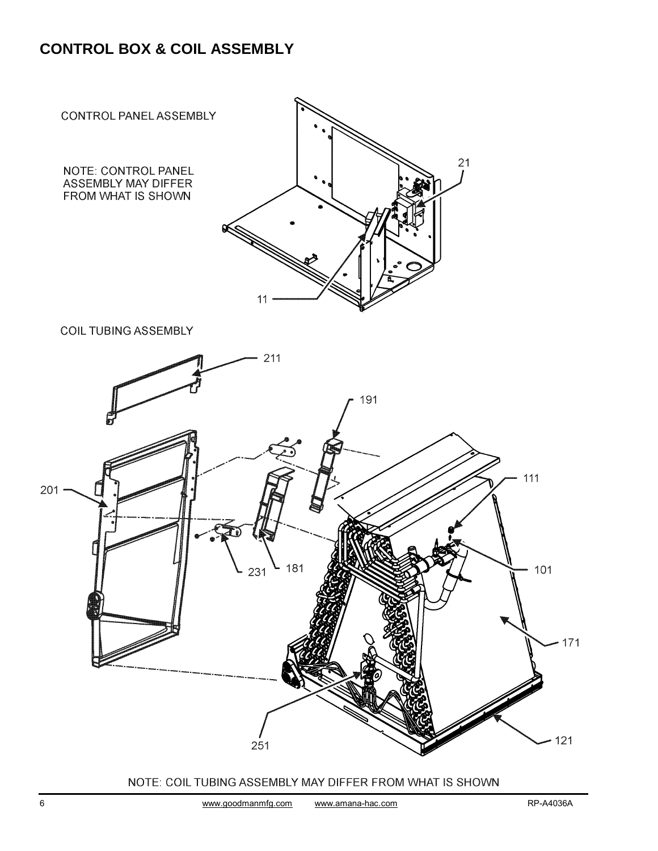## **CONTROL BOX & COIL ASSEMBLY**



**COIL TUBING ASSEMBLY** 



#### NOTE: COIL TUBING ASSEMBLY MAY DIFFER FROM WHAT IS SHOWN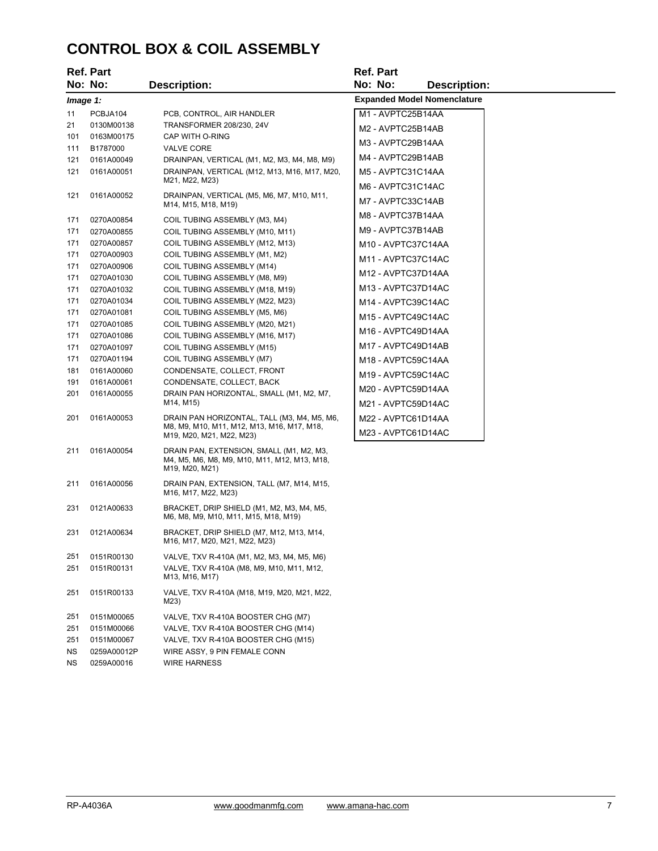## **CONTROL BOX & COIL ASSEMBLY**

|            | <b>Ref. Part</b>         |                                                                                                            | Ref. Part                          |
|------------|--------------------------|------------------------------------------------------------------------------------------------------------|------------------------------------|
|            | No: No:                  | <b>Description:</b>                                                                                        | No: No:<br><b>Description:</b>     |
| Image 1:   |                          |                                                                                                            | <b>Expanded Model Nomenclature</b> |
| 11         | PCBJA104                 | PCB, CONTROL, AIR HANDLER                                                                                  | M1 - AVPTC25B14AA                  |
| 21         | 0130M00138               | TRANSFORMER 208/230, 24V                                                                                   | M2 - AVPTC25B14AB                  |
| 101        | 0163M00175               | CAP WITH O-RING                                                                                            | M3 - AVPTC29B14AA                  |
| 111        | B1787000                 | <b>VALVE CORE</b>                                                                                          | M4 - AVPTC29B14AB                  |
| 121        | 0161A00049               | DRAINPAN, VERTICAL (M1, M2, M3, M4, M8, M9)                                                                |                                    |
| 121        | 0161A00051               | DRAINPAN, VERTICAL (M12, M13, M16, M17, M20,<br>M21, M22, M23)                                             | M5 - AVPTC31C14AA                  |
| 121        | 0161A00052               | DRAINPAN, VERTICAL (M5, M6, M7, M10, M11,                                                                  | M6 - AVPTC31C14AC                  |
|            |                          | M14, M15, M18, M19)                                                                                        | M7 - AVPTC33C14AB                  |
| 171        | 0270A00854               | COIL TUBING ASSEMBLY (M3, M4)                                                                              | M8 - AVPTC37B14AA                  |
| 171        | 0270A00855               | COIL TUBING ASSEMBLY (M10, M11)                                                                            | M9 - AVPTC37B14AB                  |
| 171        | 0270A00857               | COIL TUBING ASSEMBLY (M12, M13)                                                                            | M10 - AVPTC37C14AA                 |
| 171        | 0270A00903               | COIL TUBING ASSEMBLY (M1, M2)                                                                              | M11 - AVPTC37C14AC                 |
| 171        | 0270A00906               | COIL TUBING ASSEMBLY (M14)                                                                                 | M12 - AVPTC37D14AA                 |
| 171        | 0270A01030               | COIL TUBING ASSEMBLY (M8, M9)                                                                              |                                    |
| 171        | 0270A01032               | COIL TUBING ASSEMBLY (M18, M19)                                                                            | M13 - AVPTC37D14AC                 |
| 171<br>171 | 0270A01034               | COIL TUBING ASSEMBLY (M22, M23)                                                                            | M14 - AVPTC39C14AC                 |
| 171        | 0270A01081<br>0270A01085 | COIL TUBING ASSEMBLY (M5, M6)<br>COIL TUBING ASSEMBLY (M20, M21)                                           | M15 - AVPTC49C14AC                 |
| 171        | 0270A01086               | COIL TUBING ASSEMBLY (M16, M17)                                                                            | M16 - AVPTC49D14AA                 |
| 171        | 0270A01097               | COIL TUBING ASSEMBLY (M15)                                                                                 | M17 - AVPTC49D14AB                 |
| 171        | 0270A01194               | COIL TUBING ASSEMBLY (M7)                                                                                  | M18 - AVPTC59C14AA                 |
| 181        | 0161A00060               | CONDENSATE, COLLECT, FRONT                                                                                 | M19 - AVPTC59C14AC                 |
| 191        | 0161A00061               | CONDENSATE, COLLECT, BACK                                                                                  | M20 - AVPTC59D14AA                 |
| 201        | 0161A00055               | DRAIN PAN HORIZONTAL, SMALL (M1, M2, M7,<br>M14, M15)                                                      |                                    |
|            |                          |                                                                                                            | M21 - AVPTC59D14AC                 |
| 201        | 0161A00053               | DRAIN PAN HORIZONTAL, TALL (M3, M4, M5, M6,<br>M8, M9, M10, M11, M12, M13, M16, M17, M18,                  | M22 - AVPTC61D14AA                 |
|            |                          | M19, M20, M21, M22, M23)                                                                                   | M23 - AVPTC61D14AC                 |
| 211        | 0161A00054               | DRAIN PAN, EXTENSION, SMALL (M1, M2, M3,<br>M4, M5, M6, M8, M9, M10, M11, M12, M13, M18,<br>M19, M20, M21) |                                    |
| 211        | 0161A00056               | DRAIN PAN, EXTENSION, TALL (M7, M14, M15,<br>M16, M17, M22, M23)                                           |                                    |
| 231        | 0121A00633               | BRACKET, DRIP SHIELD (M1, M2, M3, M4, M5,<br>M6, M8, M9, M10, M11, M15, M18, M19)                          |                                    |
| 231        | 0121A00634               | BRACKET, DRIP SHIELD (M7, M12, M13, M14,<br>M16, M17, M20, M21, M22, M23)                                  |                                    |
| 251        | 0151R00130               | VALVE, TXV R-410A (M1, M2, M3, M4, M5, M6)                                                                 |                                    |
| 251        | 0151R00131               | VALVE, TXV R-410A (M8, M9, M10, M11, M12,<br>M13, M16, M17)                                                |                                    |
| 251        | 0151R00133               | VALVE, TXV R-410A (M18, M19, M20, M21, M22,<br>M23)                                                        |                                    |

251 0151M00065 VALVE, TXV R-410A BOOSTER CHG (M7) VALVE, TXV R-410A BOOSTER CHG (M14) 251 0151M00067 VALVE, TXV R-410A BOOSTER CHG (M15) NS 0259A00012P WIRE ASSY, 9 PIN FEMALE CONN<br>NS 0259A00016 WIRE HARNESS NS 0259A00016 WIRE HARNESS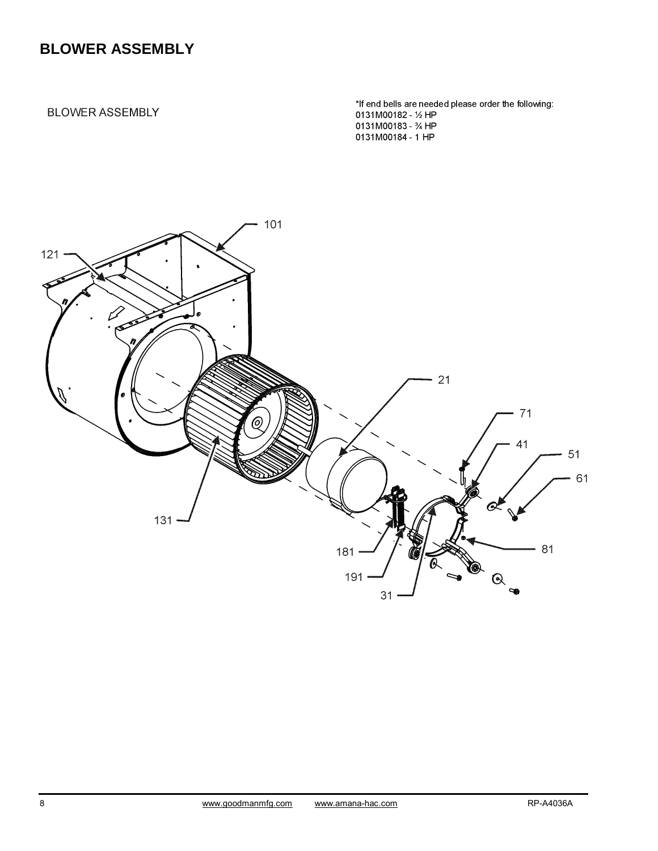## **BLOWER ASSEMBLY**

#### **BLOWER ASSEMBLY**

\*If end bells are needed please order the following: 0131M00182 - 1/2 HP 0131M00183 - 34 HP 0131M00184 - 1 HP